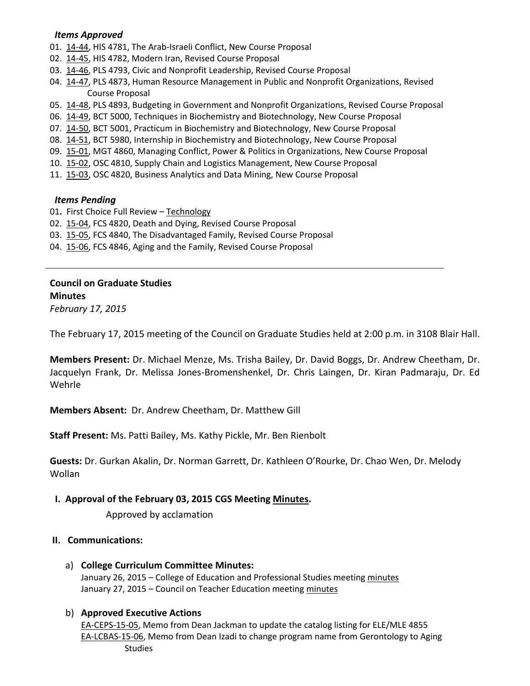#### *Items Approved*

- 01. [14-44,](http://castle.eiu.edu/~eiucgs/currentagendaitems/agenda14-44.pdf) HIS 4781, The Arab-Israeli Conflict, New Course Proposal
- 02. [14-45,](http://castle.eiu.edu/~eiucgs/currentagendaitems/agenda14-45.pdf) HIS 4782, Modern Iran, Revised Course Proposal
- 03. [14-46,](http://castle.eiu.edu/~eiucgs/currentagendaitems/agenda14-46.pdf) PLS 4793, Civic and Nonprofit Leadership, Revised Course Proposal
- 04. [14-47,](http://castle.eiu.edu/~eiucgs/currentagendaitems/agenda14-47.pdf) PLS 4873, Human Resource Management in Public and Nonprofit Organizations, Revised Course Proposal
- 05. [14-48,](http://castle.eiu.edu/~eiucgs/currentagendaitems/agenda14-48.pdf) PLS 4893, Budgeting in Government and Nonprofit Organizations, Revised Course Proposal
- 06. [14-49,](http://castle.eiu.edu/~eiucgs/currentagendaitems/agenda14-49.pdf) BCT 5000, Techniques in Biochemistry and Biotechnology, New Course Proposal
- 07. [14-50,](http://castle.eiu.edu/~eiucgs/currentagendaitems/agenda14-50.pdf) BCT 5001, Practicum in Biochemistry and Biotechnology, New Course Proposal
- 08. [14-51,](http://castle.eiu.edu/~eiucgs/currentagendaitems/agenda14-51.pdf) BCT 5980, Internship in Biochemistry and Biotechnology, New Course Proposal
- 09. [15-01,](http://castle.eiu.edu/~eiucgs/currentagendaitems/agenda15-01.pdf) MGT 4860, Managing Conflict, Power & Politics in Organizations, New Course Proposal
- 10. [15-02,](http://castle.eiu.edu/~eiucgs/currentagendaitems/agenda15-02.pdf) OSC 4810, Supply Chain and Logistics Management, New Course Proposal
- 11. [15-03,](http://castle.eiu.edu/~eiucgs/currentagendaitems/agenda15-03.pdf) OSC 4820, Business Analytics and Data Mining, New Course Proposal

#### *Items Pending*

- 01**.** First Choice Full Review [Technology](http://castle.eiu.edu/~eiucgs/documents/TechnologyFirstChoiceReviewReport.pdf)
- 02. [15-04,](http://castle.eiu.edu/~eiucgs/currentagendaitems/agenda15-04.pdf) FCS 4820, Death and Dying, Revised Course Proposal
- 03. [15-05,](http://castle.eiu.edu/~eiucgs/currentagendaitems/agenda15-05.pdf) FCS 4840, The Disadvantaged Family, Revised Course Proposal
- 04. [15-06,](http://castle.eiu.edu/~eiucgs/currentagendaitems/agenda15-06.pdf) FCS 4846, Aging and the Family, Revised Course Proposal

**Council on Graduate Studies Minutes** *February 17, 2015*

The February 17, 2015 meeting of the Council on Graduate Studies held at 2:00 p.m. in 3108 Blair Hall.

**Members Present:** Dr. Michael Menze, Ms. Trisha Bailey, Dr. David Boggs, Dr. Andrew Cheetham, Dr. Jacquelyn Frank, Dr. Melissa Jones-Bromenshenkel, Dr. Chris Laingen, Dr. Kiran Padmaraju, Dr. Ed Wehrle

**Members Absent:** Dr. Andrew Cheetham, Dr. Matthew Gill

**Staff Present:** Ms. Patti Bailey, Ms. Kathy Pickle, Mr. Ben Rienbolt

**Guests:** Dr. Gurkan Akalin, Dr. Norman Garrett, Dr. Kathleen O'Rourke, Dr. Chao Wen, Dr. Melody Wollan

## **I. Approval of the February 03, 2015 CGS Meeting [Minutes.](http://castle.eiu.edu/eiucgs/currentminutes/Minutes02-03-15.pdf)**

Approved by acclamation

## **II. Communications:**

a) **College Curriculum Committee Minutes:**

January 26, 2015 – College of Education and Professional Studies meetin[g minutes](http://castle.eiu.edu/~eiucgs/currentagendaitems/CEPSMin01-26-15.pdf) January 27, 2015 – Council on Teacher Education meeting [minutes](http://castle.eiu.edu/~eiucgs/currentagendaitems/COTEMin01-27-15.pdf)

## b) **Approved Executive Actions**

[EA-CEPS-15-05,](http://castle.eiu.edu/~eiucgs/exec-actions/EA-CEPS-15-05.pdf) Memo from Dean Jackman to update the catalog listing for ELE/MLE 4855 [EA-LCBAS-15-06,](http://castle.eiu.edu/~eiucgs/exec-actions/EA-LCBAS-15-06.pdf) Memo from Dean Izadi to change program name from Gerontology to Aging Studies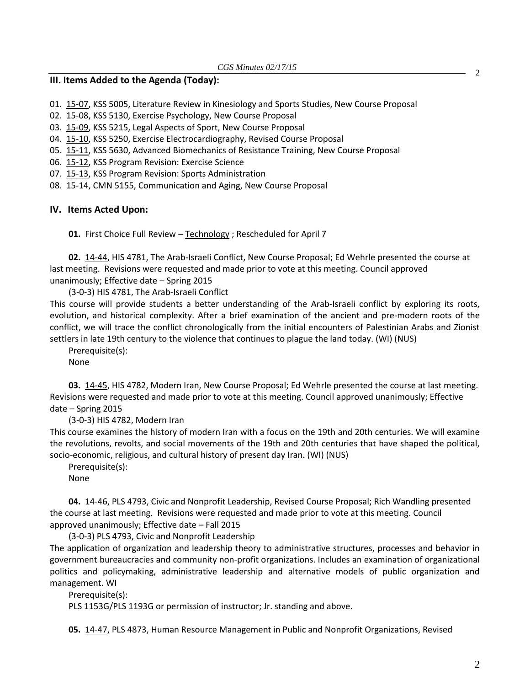#### **III. Items Added to the Agenda (Today):**

- 01. [15-07,](http://castle.eiu.edu/~eiucgs/currentagendaitems/agenda15-07.pdf) KSS 5005, Literature Review in Kinesiology and Sports Studies, New Course Proposal
- 02. [15-08,](http://castle.eiu.edu/~eiucgs/currentagendaitems/agenda15-08.pdf) KSS 5130, Exercise Psychology, New Course Proposal
- 03. [15-09,](http://castle.eiu.edu/~eiucgs/currentagendaitems/agenda15-09.pdf) KSS 5215, Legal Aspects of Sport, New Course Proposal
- 04. [15-10,](http://castle.eiu.edu/~eiucgs/currentagendaitems/agenda15-10.pdf) KSS 5250, Exercise Electrocardiography, Revised Course Proposal
- 05. [15-11,](http://castle.eiu.edu/~eiucgs/currentagendaitems/agenda15-11.pdf) KSS 5630, Advanced Biomechanics of Resistance Training, New Course Proposal
- 06. [15-12,](http://castle.eiu.edu/~eiucgs/currentagendaitems/agenda15-12.pdf) KSS Program Revision: Exercise Science
- 07. [15-13,](http://castle.eiu.edu/~eiucgs/currentagendaitems/agenda15-13.pdf) KSS Program Revision: Sports Administration
- 08. [15-14,](http://castle.eiu.edu/~eiucgs/currentagendaitems/agenda15-14.pdf) CMN 5155, Communication and Aging, New Course Proposal

#### **IV. Items Acted Upon:**

**01.** First Choice Full Review – [Technology](http://castle.eiu.edu/~eiucgs/documents/TechnologyFirstChoiceReviewReport.pdf) ; Rescheduled for April 7

**02.** [14-44,](http://castle.eiu.edu/~eiucgs/currentagendaitems/agenda14-44.pdf) HIS 4781, The Arab-Israeli Conflict, New Course Proposal; Ed Wehrle presented the course at last meeting. Revisions were requested and made prior to vote at this meeting. Council approved unanimously; Effective date – Spring 2015

(3-0-3) HIS 4781, The Arab-Israeli Conflict

This course will provide students a better understanding of the Arab-Israeli conflict by exploring its roots, evolution, and historical complexity. After a brief examination of the ancient and pre-modern roots of the conflict, we will trace the conflict chronologically from the initial encounters of Palestinian Arabs and Zionist settlers in late 19th century to the violence that continues to plague the land today. (WI) (NUS)

Prerequisite(s): None

**03.** [14-45,](http://castle.eiu.edu/~eiucgs/currentagendaitems/agenda14-45.pdf) HIS 4782, Modern Iran, New Course Proposal; Ed Wehrle presented the course at last meeting. Revisions were requested and made prior to vote at this meeting. Council approved unanimously; Effective date – Spring 2015

(3-0-3) HIS 4782, Modern Iran

This course examines the history of modern Iran with a focus on the 19th and 20th centuries. We will examine the revolutions, revolts, and social movements of the 19th and 20th centuries that have shaped the political, socio-economic, religious, and cultural history of present day Iran. (WI) (NUS)

Prerequisite(s):

None

**04.** [14-46,](http://castle.eiu.edu/~eiucgs/currentagendaitems/agenda14-46.pdf) PLS 4793, Civic and Nonprofit Leadership, Revised Course Proposal; Rich Wandling presented the course at last meeting. Revisions were requested and made prior to vote at this meeting. Council approved unanimously; Effective date – Fall 2015

(3-0-3) PLS 4793, Civic and Nonprofit Leadership

The application of organization and leadership theory to administrative structures, processes and behavior in government bureaucracies and community non-profit organizations. Includes an examination of organizational politics and policymaking, administrative leadership and alternative models of public organization and management. WI

Prerequisite(s):

PLS 1153G/PLS 1193G or permission of instructor; Jr. standing and above.

**05.** [14-47,](http://castle.eiu.edu/~eiucgs/currentagendaitems/agenda14-47.pdf) PLS 4873, Human Resource Management in Public and Nonprofit Organizations, Revised

2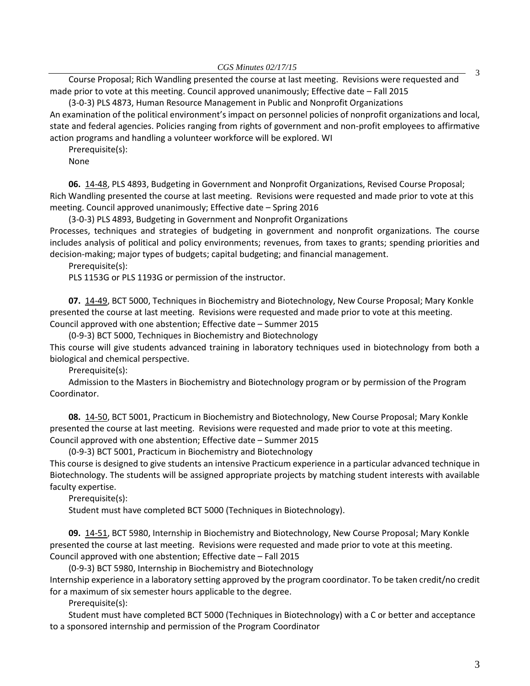*CGS Minutes 02/17/15*

Course Proposal; Rich Wandling presented the course at last meeting. Revisions were requested and made prior to vote at this meeting. Council approved unanimously; Effective date – Fall 2015

(3-0-3) PLS 4873, Human Resource Management in Public and Nonprofit Organizations An examination of the political environment's impact on personnel policies of nonprofit organizations and local, state and federal agencies. Policies ranging from rights of government and non-profit employees to affirmative action programs and handling a volunteer workforce will be explored. WI

Prerequisite(s):

None

**06.** [14-48,](http://castle.eiu.edu/~eiucgs/currentagendaitems/agenda14-48.pdf) PLS 4893, Budgeting in Government and Nonprofit Organizations, Revised Course Proposal; Rich Wandling presented the course at last meeting. Revisions were requested and made prior to vote at this meeting. Council approved unanimously; Effective date – Spring 2016

(3-0-3) PLS 4893, Budgeting in Government and Nonprofit Organizations Processes, techniques and strategies of budgeting in government and nonprofit organizations. The course includes analysis of political and policy environments; revenues, from taxes to grants; spending priorities and decision-making; major types of budgets; capital budgeting; and financial management.

Prerequisite(s):

PLS 1153G or PLS 1193G or permission of the instructor.

**07.** [14-49,](http://castle.eiu.edu/~eiucgs/currentagendaitems/agenda14-49.pdf) BCT 5000, Techniques in Biochemistry and Biotechnology, New Course Proposal; Mary Konkle presented the course at last meeting. Revisions were requested and made prior to vote at this meeting. Council approved with one abstention; Effective date – Summer 2015

(0-9-3) BCT 5000, Techniques in Biochemistry and Biotechnology

This course will give students advanced training in laboratory techniques used in biotechnology from both a biological and chemical perspective.

Prerequisite(s):

Admission to the Masters in Biochemistry and Biotechnology program or by permission of the Program Coordinator.

**08.** [14-50,](http://castle.eiu.edu/~eiucgs/currentagendaitems/agenda14-50.pdf) BCT 5001, Practicum in Biochemistry and Biotechnology, New Course Proposal; Mary Konkle presented the course at last meeting. Revisions were requested and made prior to vote at this meeting. Council approved with one abstention; Effective date – Summer 2015

(0-9-3) BCT 5001, Practicum in Biochemistry and Biotechnology

This course is designed to give students an intensive Practicum experience in a particular advanced technique in Biotechnology. The students will be assigned appropriate projects by matching student interests with available faculty expertise.

Prerequisite(s):

Student must have completed BCT 5000 (Techniques in Biotechnology).

**09.** [14-51,](http://castle.eiu.edu/~eiucgs/currentagendaitems/agenda14-51.pdf) BCT 5980, Internship in Biochemistry and Biotechnology, New Course Proposal; Mary Konkle presented the course at last meeting. Revisions were requested and made prior to vote at this meeting. Council approved with one abstention; Effective date – Fall 2015

(0-9-3) BCT 5980, Internship in Biochemistry and Biotechnology

Internship experience in a laboratory setting approved by the program coordinator. To be taken credit/no credit for a maximum of six semester hours applicable to the degree.

Prerequisite(s):

Student must have completed BCT 5000 (Techniques in Biotechnology) with a C or better and acceptance to a sponsored internship and permission of the Program Coordinator

3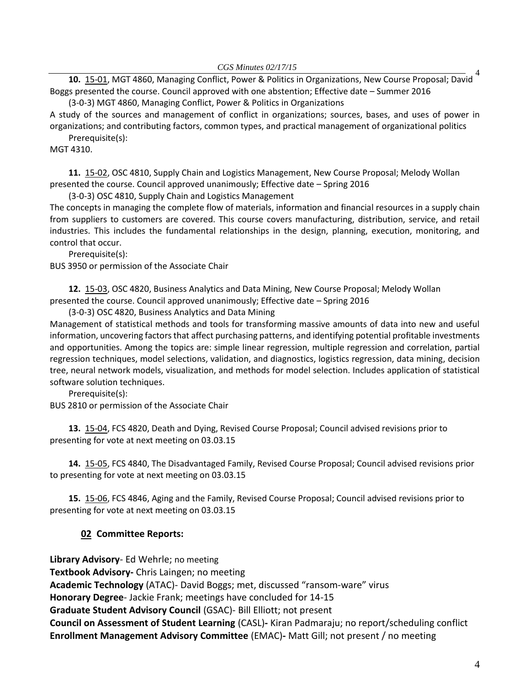*CGS Minutes 02/17/15*

10. [15-01,](http://castle.eiu.edu/~eiucgs/currentagendaitems/agenda15-01.pdf) MGT 4860, Managing Conflict, Power & Politics in Organizations, New Course Proposal; David <sup>4</sup> Boggs presented the course. Council approved with one abstention; Effective date – Summer 2016

(3-0-3) MGT 4860, Managing Conflict, Power & Politics in Organizations A study of the sources and management of conflict in organizations; sources, bases, and uses of power in organizations; and contributing factors, common types, and practical management of organizational politics

Prerequisite(s):

MGT 4310.

**11.** [15-02,](http://castle.eiu.edu/~eiucgs/currentagendaitems/agenda15-02.pdf) OSC 4810, Supply Chain and Logistics Management, New Course Proposal; Melody Wollan presented the course. Council approved unanimously; Effective date – Spring 2016

(3-0-3) OSC 4810, Supply Chain and Logistics Management

The concepts in managing the complete flow of materials, information and financial resources in a supply chain from suppliers to customers are covered. This course covers manufacturing, distribution, service, and retail industries. This includes the fundamental relationships in the design, planning, execution, monitoring, and control that occur.

Prerequisite(s):

BUS 3950 or permission of the Associate Chair

**12.** [15-03,](http://castle.eiu.edu/~eiucgs/currentagendaitems/agenda15-03.pdf) OSC 4820, Business Analytics and Data Mining, New Course Proposal; Melody Wollan presented the course. Council approved unanimously; Effective date – Spring 2016

(3-0-3) OSC 4820, Business Analytics and Data Mining

Management of statistical methods and tools for transforming massive amounts of data into new and useful information, uncovering factors that affect purchasing patterns, and identifying potential profitable investments and opportunities. Among the topics are: simple linear regression, multiple regression and correlation, partial regression techniques, model selections, validation, and diagnostics, logistics regression, data mining, decision tree, neural network models, visualization, and methods for model selection. Includes application of statistical software solution techniques.

Prerequisite(s):

BUS 2810 or permission of the Associate Chair

**13.** [15-04,](http://castle.eiu.edu/~eiucgs/currentagendaitems/agenda15-04.pdf) FCS 4820, Death and Dying, Revised Course Proposal; Council advised revisions prior to presenting for vote at next meeting on 03.03.15

**14.** [15-05,](http://castle.eiu.edu/~eiucgs/currentagendaitems/agenda15-05.pdf) FCS 4840, The Disadvantaged Family, Revised Course Proposal; Council advised revisions prior to presenting for vote at next meeting on 03.03.15

**15.** [15-06,](http://castle.eiu.edu/~eiucgs/currentagendaitems/agenda15-06.pdf) FCS 4846, Aging and the Family, Revised Course Proposal; Council advised revisions prior to presenting for vote at next meeting on 03.03.15

# **02 Committee Reports:**

**Library Advisory**- Ed Wehrle; no meeting

**Textbook Advisory-** Chris Laingen; no meeting

**Academic Technology** (ATAC)- David Boggs; met, discussed "ransom-ware" virus

**Honorary Degree**- Jackie Frank; meetings have concluded for 14-15

**Graduate Student Advisory Council** (GSAC)- Bill Elliott; not present

**Council on Assessment of Student Learning** (CASL)**-** Kiran Padmaraju; no report/scheduling conflict **Enrollment Management Advisory Committee** (EMAC)**-** Matt Gill; not present / no meeting